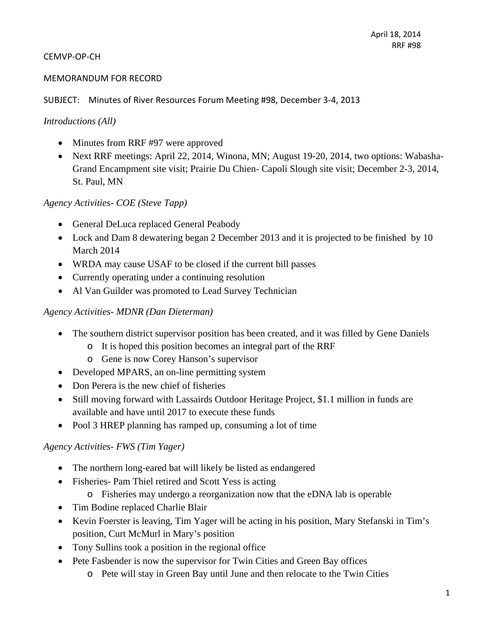#### CEMVP‐OP‐CH

#### MEMORANDUM FOR RECORD

SUBJECT: Minutes of River Resources Forum Meeting #98, December 3‐4, 2013

#### *Introductions (All)*

- Minutes from RRF #97 were approved
- Next RRF meetings: April 22, 2014, Winona, MN; August 19-20, 2014, two options: Wabasha-Grand Encampment site visit; Prairie Du Chien- Capoli Slough site visit; December 2-3, 2014, St. Paul, MN

#### *Agency Activities- COE (Steve Tapp)*

- General DeLuca replaced General Peabody
- Lock and Dam 8 dewatering began 2 December 2013 and it is projected to be finished by 10 March 2014
- WRDA may cause USAF to be closed if the current bill passes
- Currently operating under a continuing resolution
- Al Van Guilder was promoted to Lead Survey Technician

#### *Agency Activities- MDNR (Dan Dieterman)*

- The southern district supervisor position has been created, and it was filled by Gene Daniels
	- o It is hoped this position becomes an integral part of the RRF
	- o Gene is now Corey Hanson's supervisor
- Developed MPARS, an on-line permitting system
- Don Perera is the new chief of fisheries
- Still moving forward with Lassairds Outdoor Heritage Project, \$1.1 million in funds are available and have until 2017 to execute these funds
- Pool 3 HREP planning has ramped up, consuming a lot of time

#### *Agency Activities- FWS (Tim Yager)*

- The northern long-eared bat will likely be listed as endangered
- Fisheries- Pam Thiel retired and Scott Yess is acting
	- o Fisheries may undergo a reorganization now that the eDNA lab is operable
- Tim Bodine replaced Charlie Blair
- Kevin Foerster is leaving, Tim Yager will be acting in his position, Mary Stefanski in Tim's position, Curt McMurl in Mary's position
- Tony Sullins took a position in the regional office
- Pete Fasbender is now the supervisor for Twin Cities and Green Bay offices
	- o Pete will stay in Green Bay until June and then relocate to the Twin Cities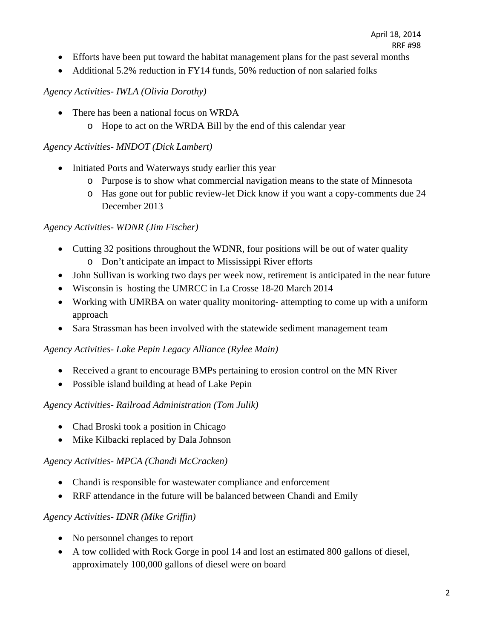- Efforts have been put toward the habitat management plans for the past several months
- Additional 5.2% reduction in FY14 funds, 50% reduction of non salaried folks

## *Agency Activities- IWLA (Olivia Dorothy)*

- There has been a national focus on WRDA
	- o Hope to act on the WRDA Bill by the end of this calendar year

#### *Agency Activities- MNDOT (Dick Lambert)*

- Initiated Ports and Waterways study earlier this year
	- o Purpose is to show what commercial navigation means to the state of Minnesota
	- o Has gone out for public review-let Dick know if you want a copy-comments due 24 December 2013

### *Agency Activities- WDNR (Jim Fischer)*

- Cutting 32 positions throughout the WDNR, four positions will be out of water quality o Don't anticipate an impact to Mississippi River efforts
- John Sullivan is working two days per week now, retirement is anticipated in the near future
- Wisconsin is hosting the UMRCC in La Crosse 18-20 March 2014
- Working with UMRBA on water quality monitoring- attempting to come up with a uniform approach
- Sara Strassman has been involved with the statewide sediment management team

### *Agency Activities- Lake Pepin Legacy Alliance (Rylee Main)*

- Received a grant to encourage BMPs pertaining to erosion control on the MN River
- Possible island building at head of Lake Pepin

### *Agency Activities- Railroad Administration (Tom Julik)*

- Chad Broski took a position in Chicago
- Mike Kilbacki replaced by Dala Johnson

### *Agency Activities- MPCA (Chandi McCracken)*

- Chandi is responsible for wastewater compliance and enforcement
- RRF attendance in the future will be balanced between Chandi and Emily

### *Agency Activities- IDNR (Mike Griffin)*

- No personnel changes to report
- A tow collided with Rock Gorge in pool 14 and lost an estimated 800 gallons of diesel, approximately 100,000 gallons of diesel were on board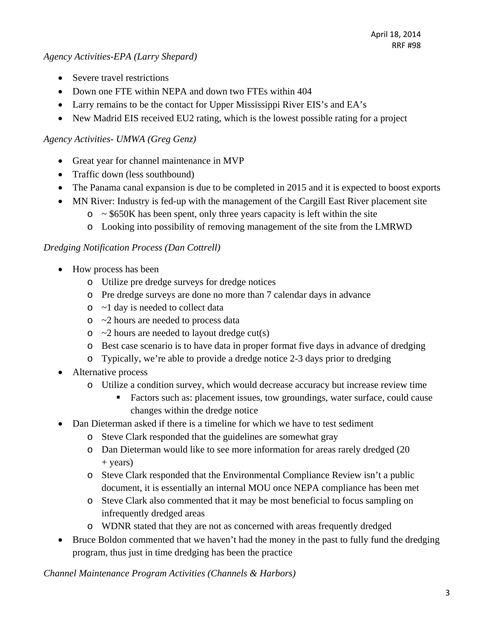#### *Agency Activities-EPA (Larry Shepard)*

- Severe travel restrictions
- Down one FTE within NEPA and down two FTEs within 404
- Larry remains to be the contact for Upper Mississippi River EIS's and EA's
- New Madrid EIS received EU2 rating, which is the lowest possible rating for a project

#### *Agency Activities- UMWA (Greg Genz)*

- Great year for channel maintenance in MVP
- Traffic down (less southbound)
- The Panama canal expansion is due to be completed in 2015 and it is expected to boost exports
- MN River: Industry is fed-up with the management of the Cargill East River placement site
	- $\circ$  ~ \$650K has been spent, only three years capacity is left within the site
	- o Looking into possibility of removing management of the site from the LMRWD

#### *Dredging Notification Process (Dan Cottrell)*

- How process has been
	- o Utilize pre dredge surveys for dredge notices
	- o Pre dredge surveys are done no more than 7 calendar days in advance
	- o ~1 day is needed to collect data
	- o ~2 hours are needed to process data
	- $\circ$  ~2 hours are needed to layout dredge cut(s)
	- o Best case scenario is to have data in proper format five days in advance of dredging
	- o Typically, we're able to provide a dredge notice 2-3 days prior to dredging
- Alternative process
	- o Utilize a condition survey, which would decrease accuracy but increase review time
		- Factors such as: placement issues, tow groundings, water surface, could cause changes within the dredge notice
- Dan Dieterman asked if there is a timeline for which we have to test sediment
	- o Steve Clark responded that the guidelines are somewhat gray
	- o Dan Dieterman would like to see more information for areas rarely dredged (20 + years)
	- o Steve Clark responded that the Environmental Compliance Review isn't a public document, it is essentially an internal MOU once NEPA compliance has been met
	- o Steve Clark also commented that it may be most beneficial to focus sampling on infrequently dredged areas
	- o WDNR stated that they are not as concerned with areas frequently dredged
- Bruce Boldon commented that we haven't had the money in the past to fully fund the dredging program, thus just in time dredging has been the practice

*Channel Maintenance Program Activities (Channels & Harbors)*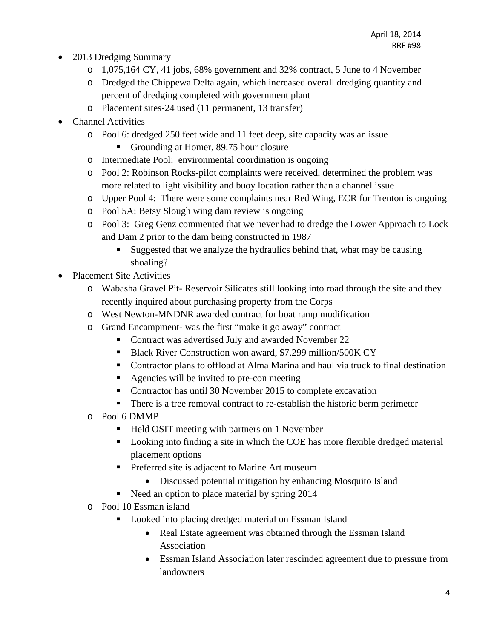- 2013 Dredging Summary
	- o 1,075,164 CY, 41 jobs, 68% government and 32% contract, 5 June to 4 November
	- o Dredged the Chippewa Delta again, which increased overall dredging quantity and percent of dredging completed with government plant
	- o Placement sites-24 used (11 permanent, 13 transfer)
- Channel Activities
	- o Pool 6: dredged 250 feet wide and 11 feet deep, site capacity was an issue
		- Grounding at Homer, 89.75 hour closure
	- o Intermediate Pool: environmental coordination is ongoing
	- o Pool 2: Robinson Rocks-pilot complaints were received, determined the problem was more related to light visibility and buoy location rather than a channel issue
	- o Upper Pool 4: There were some complaints near Red Wing, ECR for Trenton is ongoing
	- o Pool 5A: Betsy Slough wing dam review is ongoing
	- o Pool 3: Greg Genz commented that we never had to dredge the Lower Approach to Lock and Dam 2 prior to the dam being constructed in 1987
		- Suggested that we analyze the hydraulics behind that, what may be causing shoaling?
- Placement Site Activities
	- o Wabasha Gravel Pit- Reservoir Silicates still looking into road through the site and they recently inquired about purchasing property from the Corps
	- o West Newton-MNDNR awarded contract for boat ramp modification
	- o Grand Encampment- was the first "make it go away" contract
		- Contract was advertised July and awarded November 22
		- Black River Construction won award, \$7.299 million/500K CY
		- Contractor plans to offload at Alma Marina and haul via truck to final destination
		- Agencies will be invited to pre-con meeting
		- Contractor has until 30 November 2015 to complete excavation
		- There is a tree removal contract to re-establish the historic berm perimeter
	- o Pool 6 DMMP
		- Held OSIT meeting with partners on 1 November
		- **Looking into finding a site in which the COE has more flexible dredged material** placement options
		- **•** Preferred site is adjacent to Marine Art museum
			- Discussed potential mitigation by enhancing Mosquito Island
		- Need an option to place material by spring 2014
	- o Pool 10 Essman island
		- **Looked into placing dredged material on Essman Island** 
			- Real Estate agreement was obtained through the Essman Island Association
			- Essman Island Association later rescinded agreement due to pressure from landowners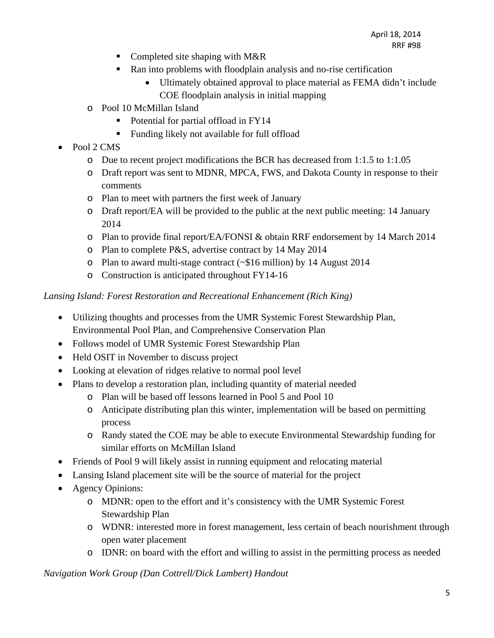- Completed site shaping with  $M&R$
- Ran into problems with floodplain analysis and no-rise certification
	- Ultimately obtained approval to place material as FEMA didn't include COE floodplain analysis in initial mapping
- o Pool 10 McMillan Island
	- Potential for partial offload in FY14
	- Funding likely not available for full offload
- Pool 2 CMS
	- o Due to recent project modifications the BCR has decreased from 1:1.5 to 1:1.05
	- o Draft report was sent to MDNR, MPCA, FWS, and Dakota County in response to their comments
	- o Plan to meet with partners the first week of January
	- o Draft report/EA will be provided to the public at the next public meeting: 14 January 2014
	- o Plan to provide final report/EA/FONSI & obtain RRF endorsement by 14 March 2014
	- o Plan to complete P&S, advertise contract by 14 May 2014
	- o Plan to award multi-stage contract (~\$16 million) by 14 August 2014
	- o Construction is anticipated throughout FY14-16

### *Lansing Island: Forest Restoration and Recreational Enhancement (Rich King)*

- Utilizing thoughts and processes from the UMR Systemic Forest Stewardship Plan, Environmental Pool Plan, and Comprehensive Conservation Plan
- Follows model of UMR Systemic Forest Stewardship Plan
- Held OSIT in November to discuss project
- Looking at elevation of ridges relative to normal pool level
- Plans to develop a restoration plan, including quantity of material needed
	- o Plan will be based off lessons learned in Pool 5 and Pool 10
	- o Anticipate distributing plan this winter, implementation will be based on permitting process
	- o Randy stated the COE may be able to execute Environmental Stewardship funding for similar efforts on McMillan Island
- Friends of Pool 9 will likely assist in running equipment and relocating material
- Lansing Island placement site will be the source of material for the project
- Agency Opinions:
	- o MDNR: open to the effort and it's consistency with the UMR Systemic Forest Stewardship Plan
	- o WDNR: interested more in forest management, less certain of beach nourishment through open water placement
	- o IDNR: on board with the effort and willing to assist in the permitting process as needed

*Navigation Work Group (Dan Cottrell/Dick Lambert) Handout*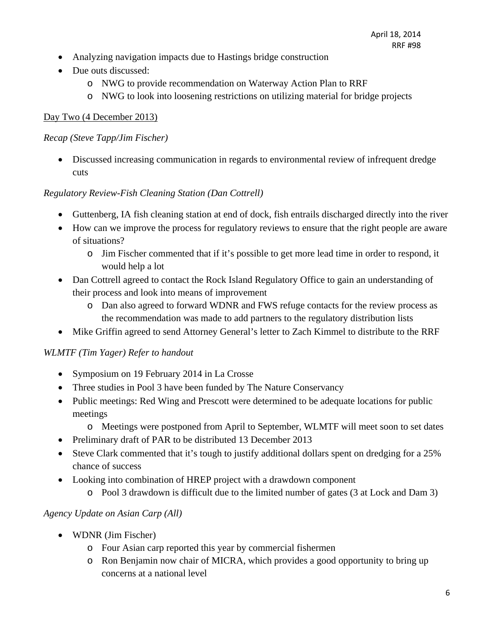- Analyzing navigation impacts due to Hastings bridge construction
- Due outs discussed:
	- o NWG to provide recommendation on Waterway Action Plan to RRF
	- o NWG to look into loosening restrictions on utilizing material for bridge projects

#### Day Two (4 December 2013)

#### *Recap (Steve Tapp/Jim Fischer)*

 Discussed increasing communication in regards to environmental review of infrequent dredge cuts

#### *Regulatory Review-Fish Cleaning Station (Dan Cottrell)*

- Guttenberg, IA fish cleaning station at end of dock, fish entrails discharged directly into the river
- How can we improve the process for regulatory reviews to ensure that the right people are aware of situations?
	- o Jim Fischer commented that if it's possible to get more lead time in order to respond, it would help a lot
- Dan Cottrell agreed to contact the Rock Island Regulatory Office to gain an understanding of their process and look into means of improvement
	- o Dan also agreed to forward WDNR and FWS refuge contacts for the review process as the recommendation was made to add partners to the regulatory distribution lists
- Mike Griffin agreed to send Attorney General's letter to Zach Kimmel to distribute to the RRF

### *WLMTF (Tim Yager) Refer to handout*

- Symposium on 19 February 2014 in La Crosse
- Three studies in Pool 3 have been funded by The Nature Conservancy
- Public meetings: Red Wing and Prescott were determined to be adequate locations for public meetings
	- o Meetings were postponed from April to September, WLMTF will meet soon to set dates
- Preliminary draft of PAR to be distributed 13 December 2013
- Steve Clark commented that it's tough to justify additional dollars spent on dredging for a 25% chance of success
- Looking into combination of HREP project with a drawdown component
	- o Pool 3 drawdown is difficult due to the limited number of gates (3 at Lock and Dam 3)

### *Agency Update on Asian Carp (All)*

- WDNR (Jim Fischer)
	- o Four Asian carp reported this year by commercial fishermen
	- o Ron Benjamin now chair of MICRA, which provides a good opportunity to bring up concerns at a national level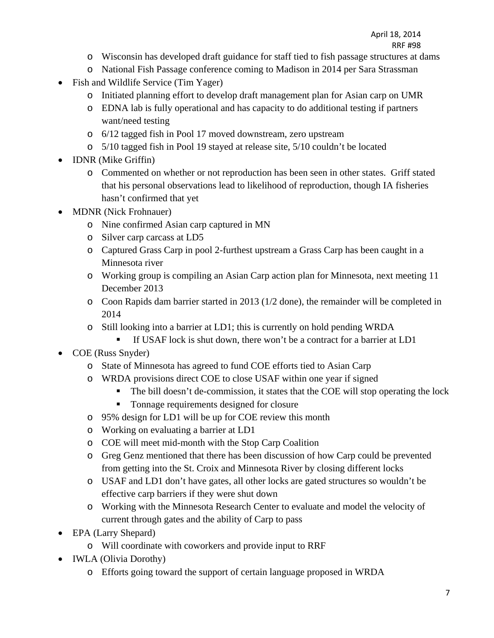- o Wisconsin has developed draft guidance for staff tied to fish passage structures at dams
- o National Fish Passage conference coming to Madison in 2014 per Sara Strassman
- Fish and Wildlife Service (Tim Yager)
	- o Initiated planning effort to develop draft management plan for Asian carp on UMR
	- o EDNA lab is fully operational and has capacity to do additional testing if partners want/need testing
	- o 6/12 tagged fish in Pool 17 moved downstream, zero upstream
	- o 5/10 tagged fish in Pool 19 stayed at release site, 5/10 couldn't be located
- IDNR (Mike Griffin)
	- o Commented on whether or not reproduction has been seen in other states. Griff stated that his personal observations lead to likelihood of reproduction, though IA fisheries hasn't confirmed that yet
- MDNR (Nick Frohnauer)
	- o Nine confirmed Asian carp captured in MN
	- o Silver carp carcass at LD5
	- o Captured Grass Carp in pool 2-furthest upstream a Grass Carp has been caught in a Minnesota river
	- o Working group is compiling an Asian Carp action plan for Minnesota, next meeting 11 December 2013
	- o Coon Rapids dam barrier started in 2013 (1/2 done), the remainder will be completed in 2014
	- o Still looking into a barrier at LD1; this is currently on hold pending WRDA
		- If USAF lock is shut down, there won't be a contract for a barrier at LD1
- COE (Russ Snyder)
	- o State of Minnesota has agreed to fund COE efforts tied to Asian Carp
	- o WRDA provisions direct COE to close USAF within one year if signed
		- The bill doesn't de-commission, it states that the COE will stop operating the lock
		- Tonnage requirements designed for closure
	- o 95% design for LD1 will be up for COE review this month
	- o Working on evaluating a barrier at LD1
	- o COE will meet mid-month with the Stop Carp Coalition
	- o Greg Genz mentioned that there has been discussion of how Carp could be prevented from getting into the St. Croix and Minnesota River by closing different locks
	- o USAF and LD1 don't have gates, all other locks are gated structures so wouldn't be effective carp barriers if they were shut down
	- o Working with the Minnesota Research Center to evaluate and model the velocity of current through gates and the ability of Carp to pass
- EPA (Larry Shepard)
	- o Will coordinate with coworkers and provide input to RRF
- **IWLA** (Olivia Dorothy)
	- o Efforts going toward the support of certain language proposed in WRDA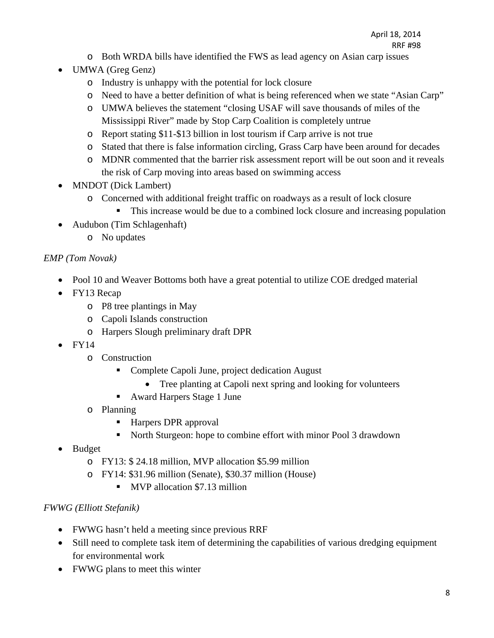- o Both WRDA bills have identified the FWS as lead agency on Asian carp issues
- UMWA (Greg Genz)
	- o Industry is unhappy with the potential for lock closure
	- o Need to have a better definition of what is being referenced when we state "Asian Carp"
	- o UMWA believes the statement "closing USAF will save thousands of miles of the Mississippi River" made by Stop Carp Coalition is completely untrue
	- o Report stating \$11-\$13 billion in lost tourism if Carp arrive is not true
	- o Stated that there is false information circling, Grass Carp have been around for decades
	- o MDNR commented that the barrier risk assessment report will be out soon and it reveals the risk of Carp moving into areas based on swimming access
- MNDOT (Dick Lambert)
	- o Concerned with additional freight traffic on roadways as a result of lock closure
		- This increase would be due to a combined lock closure and increasing population
- Audubon (Tim Schlagenhaft)
	- o No updates

## *EMP (Tom Novak)*

- Pool 10 and Weaver Bottoms both have a great potential to utilize COE dredged material
- FY13 Recap
	- o P8 tree plantings in May
	- o Capoli Islands construction
	- o Harpers Slough preliminary draft DPR
- $\bullet$  FY14
	- o Construction
		- Complete Capoli June, project dedication August
			- Tree planting at Capoli next spring and looking for volunteers
		- Award Harpers Stage 1 June
	- o Planning
		- Harpers DPR approval
		- North Sturgeon: hope to combine effort with minor Pool 3 drawdown
- Budget
	- o FY13: \$ 24.18 million, MVP allocation \$5.99 million
	- o FY14: \$31.96 million (Senate), \$30.37 million (House)
		- **MVP** allocation \$7.13 million

## *FWWG (Elliott Stefanik)*

- FWWG hasn't held a meeting since previous RRF
- Still need to complete task item of determining the capabilities of various dredging equipment for environmental work
- FWWG plans to meet this winter